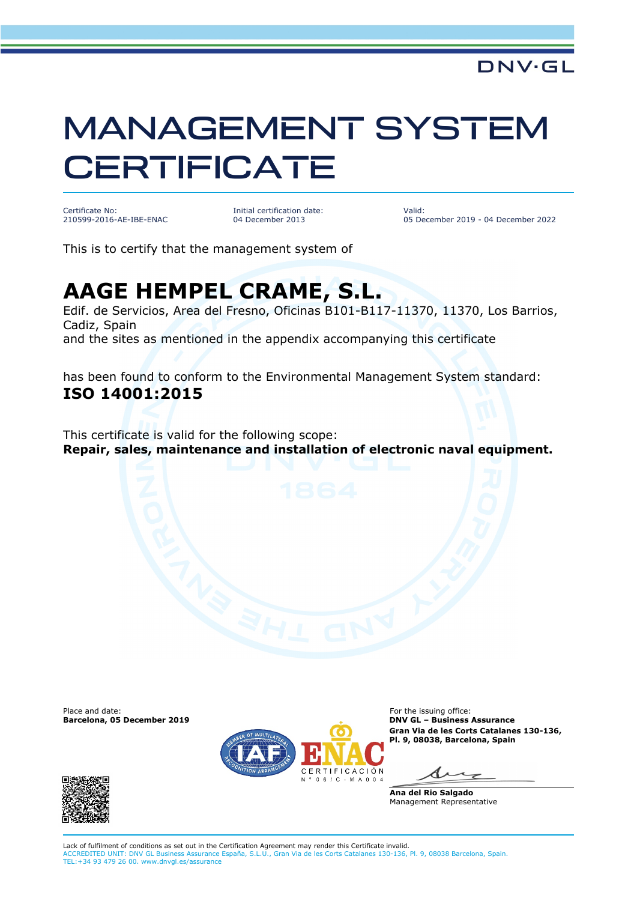## MANAGEMENT SYSTEM **CERTIFICATE**

Certificate No: 210599-2016-AE-IBE-ENAC Initial certification date: 04 December 2013

Valid: 05 December 2019 - 04 December 2022

This is to certify that the management system of

## **AAGE HEMPEL CRAME, S.L.**

Edif. de Servicios, Area del Fresno, Oficinas B101-B117-11370, 11370, Los Barrios, Cadiz, Spain and the sites as mentioned in the appendix accompanying this certificate

has been found to conform to the Environmental Management System standard: **ISO 14001:2015**

This certificate is valid for the following scope: **Repair, sales, maintenance and installation of electronic naval equipment.**

**Barcelona, 05 December 2019** 





Place and date:<br> **Barcelona, 05 December 2019** Contract Contract Contract Contract Contract Contract Contract Contract Contract Con<br> **Barcelona, 05 December 2019** Contract Contract Contract Contract Contract Contract Contr **Gran Via de les Corts Catalanes 130-136, Pl. 9, 08038, Barcelona, Spain**

**Ana del Rio Salgado** Management Representative

Lack of fulfilment of conditions as set out in the Certification Agreement may render this Certificate invalid. ACCREDITED UNIT: DNV GL Business Assurance España, S.L.U., Gran Via de les Corts Catalanes 130-136, Pl. 9, 08038 Barcelona, Spain. TEL:+34 93 479 26 00. www.dnvgl.es/assurance